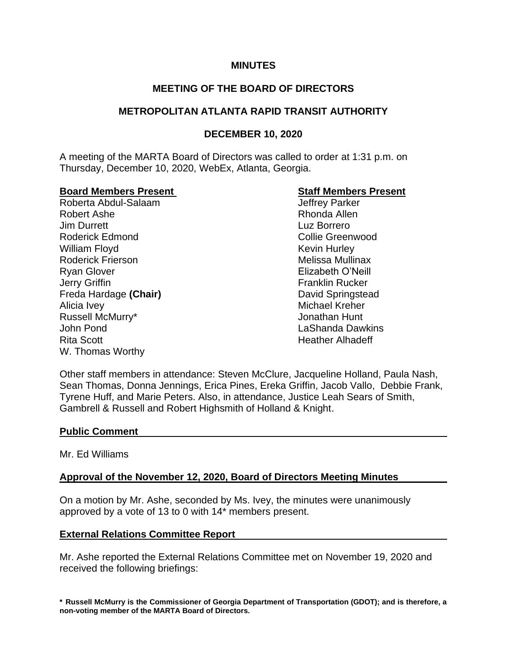#### **MINUTES**

# **MEETING OF THE BOARD OF DIRECTORS**

## **METROPOLITAN ATLANTA RAPID TRANSIT AUTHORITY**

# **DECEMBER 10, 2020**

A meeting of the MARTA Board of Directors was called to order at 1:31 p.m. on Thursday, December 10, 2020, WebEx, Atlanta, Georgia.

#### **Board Members Present Staff Members Present**

Roberta Abdul-Salaam and Jeffrey Parker Robert Ashe **Rhonda** Allen Jim Durrett Luz Borrero Roderick Edmond **Collie Greenwood** William Floyd **Kevin Hurley** Kevin Hurley Roderick Frierson **Melissa Mullinax** Melissa Mullinax Ryan Glover Elizabeth O'Neill Jerry Griffin **Franklin Rucker Franklin Rucker** Freda Hardage **(Chair)** David Springstead Alicia Ivey **Michael Kreher** Michael Kreher Russell McMurry\* Jonathan Hunt John Pond LaShanda Dawkins Rita Scott **Heather Alhadeff** Heather Alhadeff W. Thomas Worthy

Other staff members in attendance: Steven McClure, Jacqueline Holland, Paula Nash, Sean Thomas, Donna Jennings, Erica Pines, Ereka Griffin, Jacob Vallo, Debbie Frank, Tyrene Huff, and Marie Peters. Also, in attendance, Justice Leah Sears of Smith, Gambrell & Russell and Robert Highsmith of Holland & Knight.

#### **Public Comment**

#### Mr. Ed Williams

## **Approval of the November 12, 2020, Board of Directors Meeting Minutes**

On a motion by Mr. Ashe, seconded by Ms. Ivey, the minutes were unanimously approved by a vote of 13 to 0 with 14\* members present.

## **External Relations Committee Report**

Mr. Ashe reported the External Relations Committee met on November 19, 2020 and received the following briefings:

**\* Russell McMurry is the Commissioner of Georgia Department of Transportation (GDOT); and is therefore, a non-voting member of the MARTA Board of Directors.**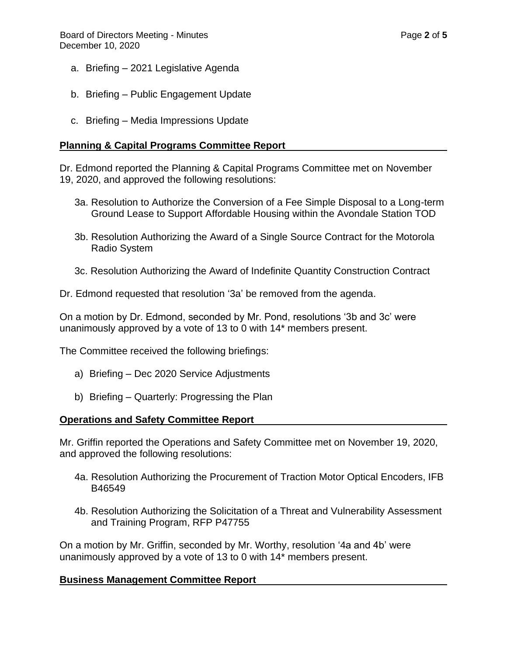- a. Briefing 2021 Legislative Agenda
- b. Briefing Public Engagement Update
- c. Briefing Media Impressions Update

#### **Planning & Capital Programs Committee Report**

Dr. Edmond reported the Planning & Capital Programs Committee met on November 19, 2020, and approved the following resolutions:

- 3a. Resolution to Authorize the Conversion of a Fee Simple Disposal to a Long-term Ground Lease to Support Affordable Housing within the Avondale Station TOD
- 3b. Resolution Authorizing the Award of a Single Source Contract for the Motorola Radio System
- 3c. Resolution Authorizing the Award of Indefinite Quantity Construction Contract

Dr. Edmond requested that resolution '3a' be removed from the agenda.

On a motion by Dr. Edmond, seconded by Mr. Pond, resolutions '3b and 3c' were unanimously approved by a vote of 13 to 0 with 14\* members present.

The Committee received the following briefings:

- a) Briefing Dec 2020 Service Adjustments
- b) Briefing Quarterly: Progressing the Plan

#### **Operations and Safety Committee Report**

Mr. Griffin reported the Operations and Safety Committee met on November 19, 2020, and approved the following resolutions:

- 4a. Resolution Authorizing the Procurement of Traction Motor Optical Encoders, IFB B46549
- 4b. Resolution Authorizing the Solicitation of a Threat and Vulnerability Assessment and Training Program, RFP P47755

On a motion by Mr. Griffin, seconded by Mr. Worthy, resolution '4a and 4b' were unanimously approved by a vote of 13 to 0 with 14\* members present.

## **Business Management Committee Report**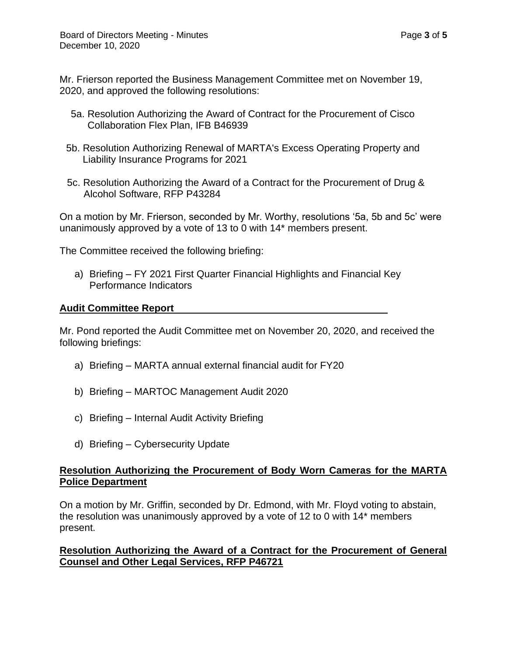Mr. Frierson reported the Business Management Committee met on November 19, 2020, and approved the following resolutions:

- 5a. Resolution Authorizing the Award of Contract for the Procurement of Cisco Collaboration Flex Plan, IFB B46939
- 5b. Resolution Authorizing Renewal of MARTA's Excess Operating Property and Liability Insurance Programs for 2021
- 5c. Resolution Authorizing the Award of a Contract for the Procurement of Drug & Alcohol Software, RFP P43284

On a motion by Mr. Frierson, seconded by Mr. Worthy, resolutions '5a, 5b and 5c' were unanimously approved by a vote of 13 to 0 with 14\* members present.

The Committee received the following briefing:

a) Briefing – FY 2021 First Quarter Financial Highlights and Financial Key Performance Indicators

# **Audit Committee Report**

Mr. Pond reported the Audit Committee met on November 20, 2020, and received the following briefings:

- a) Briefing MARTA annual external financial audit for FY20
- b) Briefing MARTOC Management Audit 2020
- c) Briefing Internal Audit Activity Briefing
- d) Briefing Cybersecurity Update

## **Resolution Authorizing the Procurement of Body Worn Cameras for the MARTA Police Department**

On a motion by Mr. Griffin, seconded by Dr. Edmond, with Mr. Floyd voting to abstain, the resolution was unanimously approved by a vote of 12 to 0 with 14\* members present.

# **Resolution Authorizing the Award of a Contract for the Procurement of General Counsel and Other Legal Services, RFP P46721**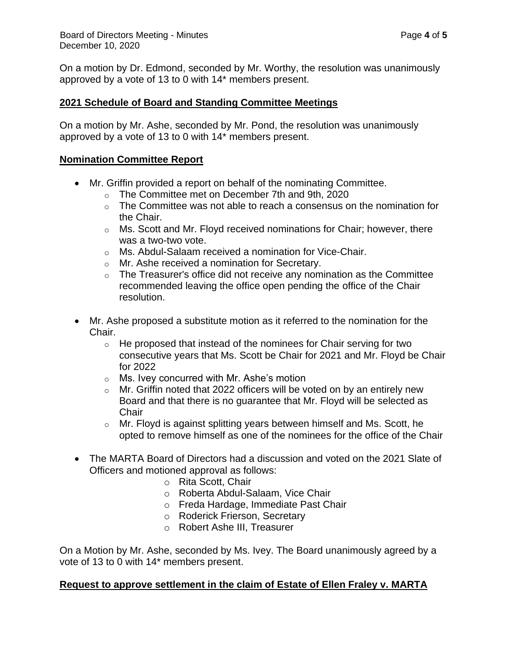On a motion by Dr. Edmond, seconded by Mr. Worthy, the resolution was unanimously approved by a vote of 13 to 0 with 14\* members present.

## **2021 Schedule of Board and Standing Committee Meetings**

On a motion by Mr. Ashe, seconded by Mr. Pond, the resolution was unanimously approved by a vote of 13 to 0 with 14\* members present.

## **Nomination Committee Report**

- Mr. Griffin provided a report on behalf of the nominating Committee.
	- o The Committee met on December 7th and 9th, 2020
	- $\circ$  The Committee was not able to reach a consensus on the nomination for the Chair.
	- o Ms. Scott and Mr. Floyd received nominations for Chair; however, there was a two-two vote.
	- o Ms. Abdul-Salaam received a nomination for Vice-Chair.
	- o Mr. Ashe received a nomination for Secretary.
	- $\circ$  The Treasurer's office did not receive any nomination as the Committee recommended leaving the office open pending the office of the Chair resolution.
- Mr. Ashe proposed a substitute motion as it referred to the nomination for the Chair.
	- $\circ$  He proposed that instead of the nominees for Chair serving for two consecutive years that Ms. Scott be Chair for 2021 and Mr. Floyd be Chair for 2022
	- o Ms. Ivey concurred with Mr. Ashe's motion
	- $\circ$  Mr. Griffin noted that 2022 officers will be voted on by an entirely new Board and that there is no guarantee that Mr. Floyd will be selected as **Chair**
	- o Mr. Floyd is against splitting years between himself and Ms. Scott, he opted to remove himself as one of the nominees for the office of the Chair
- The MARTA Board of Directors had a discussion and voted on the 2021 Slate of Officers and motioned approval as follows:
	- o Rita Scott, Chair
	- o Roberta Abdul-Salaam, Vice Chair
	- o Freda Hardage, Immediate Past Chair
	- o Roderick Frierson, Secretary
	- o Robert Ashe III, Treasurer

On a Motion by Mr. Ashe, seconded by Ms. Ivey. The Board unanimously agreed by a vote of 13 to 0 with 14\* members present.

# **Request to approve settlement in the claim of Estate of Ellen Fraley v. MARTA**